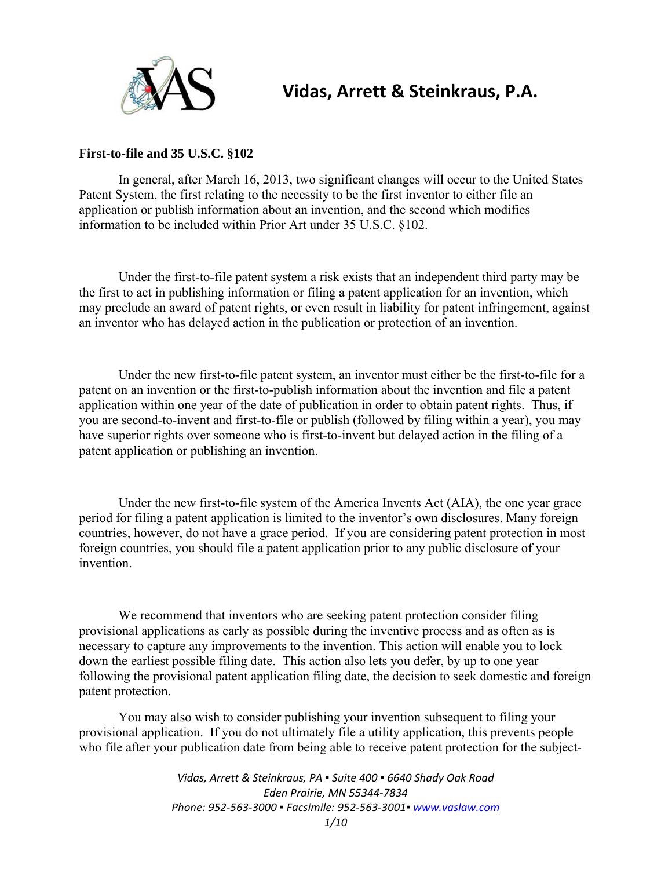

# **Vidas, Arrett & Steinkraus, P.A.**

## **First-to-file and 35 U.S.C. §102**

In general, after March 16, 2013, two significant changes will occur to the United States Patent System, the first relating to the necessity to be the first inventor to either file an application or publish information about an invention, and the second which modifies information to be included within Prior Art under 35 U.S.C. §102.

Under the first-to-file patent system a risk exists that an independent third party may be the first to act in publishing information or filing a patent application for an invention, which may preclude an award of patent rights, or even result in liability for patent infringement, against an inventor who has delayed action in the publication or protection of an invention.

Under the new first-to-file patent system, an inventor must either be the first-to-file for a patent on an invention or the first-to-publish information about the invention and file a patent application within one year of the date of publication in order to obtain patent rights. Thus, if you are second-to-invent and first-to-file or publish (followed by filing within a year), you may have superior rights over someone who is first-to-invent but delayed action in the filing of a patent application or publishing an invention.

Under the new first-to-file system of the America Invents Act (AIA), the one year grace period for filing a patent application is limited to the inventor's own disclosures. Many foreign countries, however, do not have a grace period. If you are considering patent protection in most foreign countries, you should file a patent application prior to any public disclosure of your invention.

We recommend that inventors who are seeking patent protection consider filing provisional applications as early as possible during the inventive process and as often as is necessary to capture any improvements to the invention. This action will enable you to lock down the earliest possible filing date. This action also lets you defer, by up to one year following the provisional patent application filing date, the decision to seek domestic and foreign patent protection.

You may also wish to consider publishing your invention subsequent to filing your provisional application. If you do not ultimately file a utility application, this prevents people who file after your publication date from being able to receive patent protection for the subject-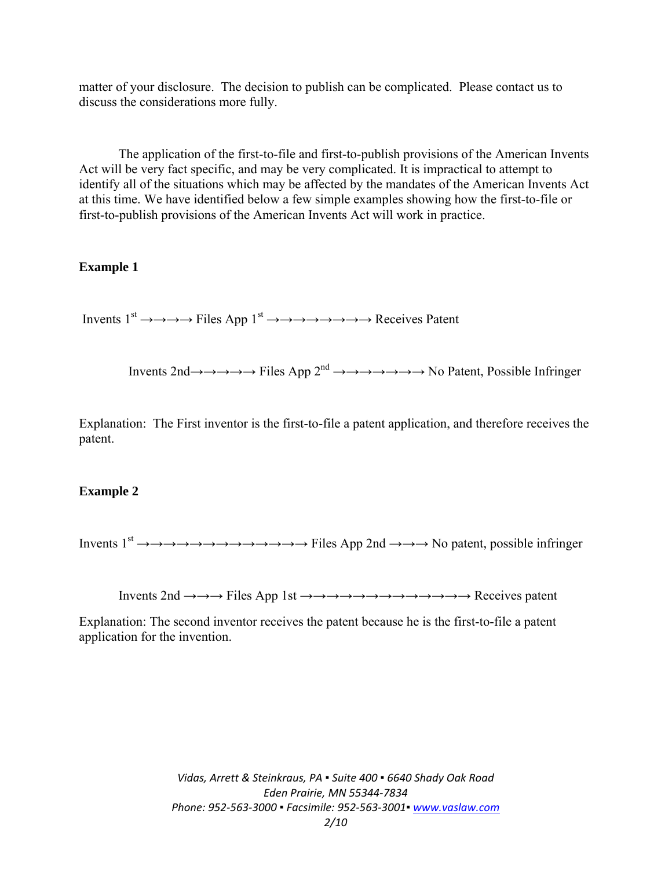matter of your disclosure. The decision to publish can be complicated. Please contact us to discuss the considerations more fully.

The application of the first-to-file and first-to-publish provisions of the American Invents Act will be very fact specific, and may be very complicated. It is impractical to attempt to identify all of the situations which may be affected by the mandates of the American Invents Act at this time. We have identified below a few simple examples showing how the first-to-file or first-to-publish provisions of the American Invents Act will work in practice.

#### **Example 1**

Invents  $1^{st} \rightarrow \rightarrow \rightarrow \rightarrow$  Files App  $1^{st} \rightarrow \rightarrow \rightarrow \rightarrow \rightarrow \rightarrow \rightarrow \rightarrow \rightarrow$  Receives Patent

Invents 2nd→→→→→ Files App 2nd →→→→→→→ No Patent, Possible Infringer

Explanation: The First inventor is the first-to-file a patent application, and therefore receives the patent.

#### **Example 2**

Invents 1st →→→→→→→→→→→→→ Files App 2nd →→→ No patent, possible infringer

Invents 2nd →→→ Files App 1st →→→→→→→→→→→→→ Receives patent

Explanation: The second inventor receives the patent because he is the first-to-file a patent application for the invention.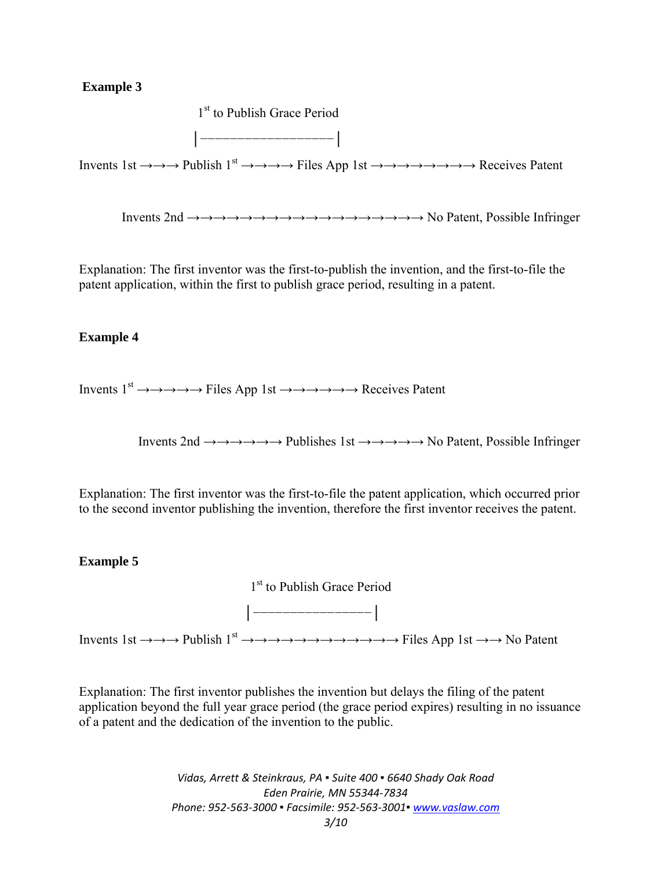# **Example 3**

1<sup>st</sup> to Publish Grace Period │−−−−−−−−−−−−−−−−−−│

Invents 1st  $\rightarrow \rightarrow \rightarrow$  Publish 1<sup>st</sup>  $\rightarrow \rightarrow \rightarrow \rightarrow$  Files App 1st  $\rightarrow \rightarrow \rightarrow \rightarrow \rightarrow \rightarrow \rightarrow \rightarrow$  Receives Patent

Invents 2nd →→→→→→→→→→→→→→→→→→ No Patent, Possible Infringer

Explanation: The first inventor was the first-to-publish the invention, and the first-to-file the patent application, within the first to publish grace period, resulting in a patent.

## **Example 4**

Invents  $1^{st} \rightarrow \rightarrow \rightarrow \rightarrow \rightarrow$  Files App 1st  $\rightarrow \rightarrow \rightarrow \rightarrow \rightarrow \rightarrow$  Receives Patent

Invents 2nd →→→→→→ Publishes 1st →→→→→ No Patent, Possible Infringer

Explanation: The first inventor was the first-to-file the patent application, which occurred prior to the second inventor publishing the invention, therefore the first inventor receives the patent.

#### **Example 5**

1<sup>st</sup> to Publish Grace Period

Invents 1st  $\rightarrow \rightarrow \rightarrow$  Publish 1<sup>st</sup>  $\rightarrow \rightarrow \rightarrow \rightarrow \rightarrow \rightarrow \rightarrow \rightarrow \rightarrow \rightarrow \rightarrow \rightarrow$  Files App 1st  $\rightarrow \rightarrow$  No Patent

│−−−−−−−−−−−−−−−−│

Explanation: The first inventor publishes the invention but delays the filing of the patent application beyond the full year grace period (the grace period expires) resulting in no issuance of a patent and the dedication of the invention to the public.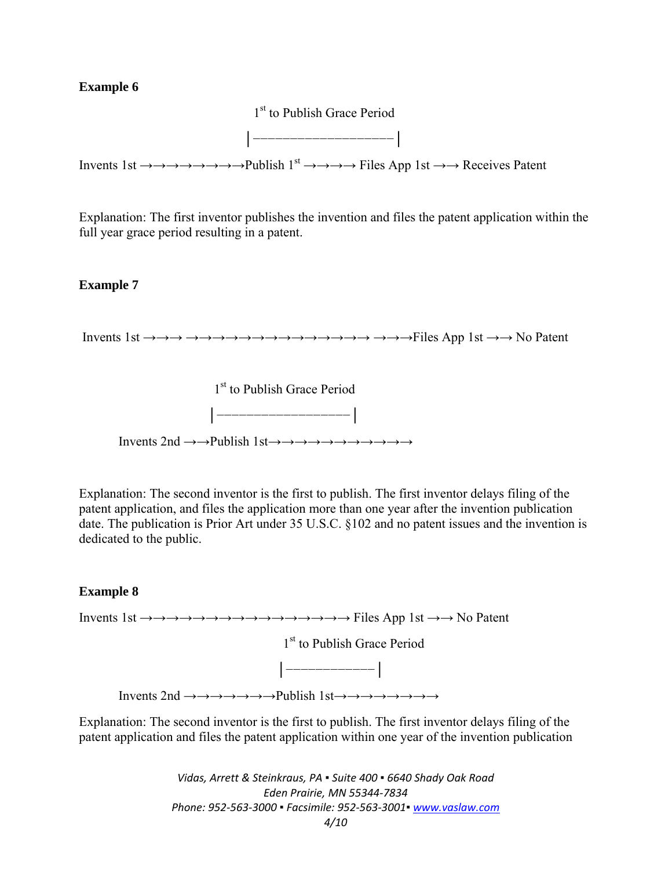# **Example 6**

1<sup>st</sup> to Publish Grace Period

│−−−−−−−−−−−−−−−−−−−│

Invents 1st  $\rightarrow \rightarrow \rightarrow \rightarrow \rightarrow \rightarrow \rightarrow P$ ublish 1<sup>st</sup>  $\rightarrow \rightarrow \rightarrow \rightarrow$  Files App 1st  $\rightarrow \rightarrow$  Receives Patent

Explanation: The first inventor publishes the invention and files the patent application within the full year grace period resulting in a patent.

#### **Example 7**

Invents 1st →→→ →→→→→→→→→→→→→→ →→→Files App 1st →→ No Patent



Explanation: The second inventor is the first to publish. The first inventor delays filing of the patent application, and files the application more than one year after the invention publication date. The publication is Prior Art under 35 U.S.C. §102 and no patent issues and the invention is dedicated to the public.

#### **Example 8**

Invents 1st →→→→→→→→→→→→→→→→ Files App 1st →→ No Patent

1<sup>st</sup> to Publish Grace Period



Invents 2nd →→→→→→→Publish 1st→→→→→→→→

Explanation: The second inventor is the first to publish. The first inventor delays filing of the patent application and files the patent application within one year of the invention publication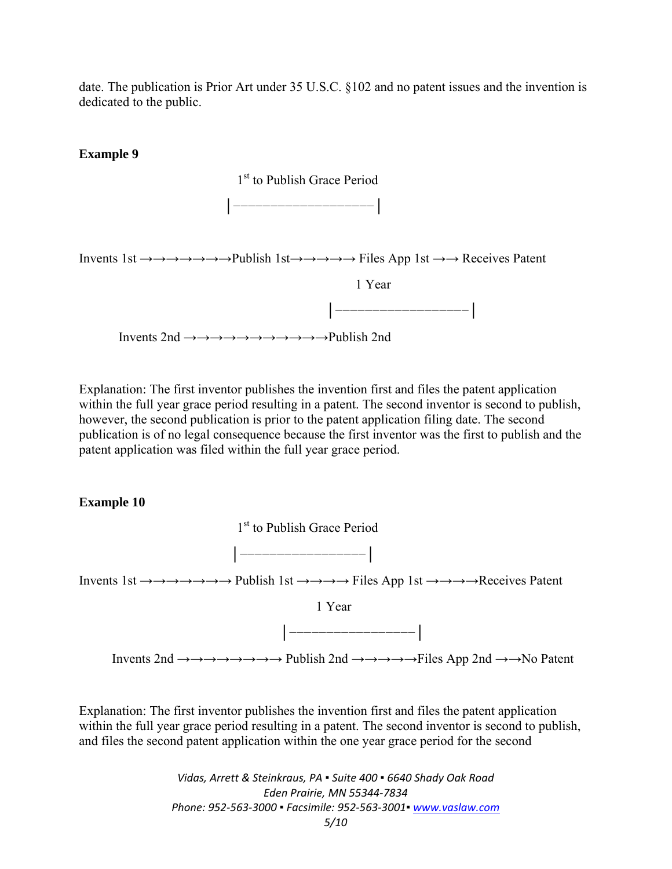date. The publication is Prior Art under 35 U.S.C. §102 and no patent issues and the invention is dedicated to the public.

# **Example 9**



Explanation: The first inventor publishes the invention first and files the patent application within the full year grace period resulting in a patent. The second inventor is second to publish, however, the second publication is prior to the patent application filing date. The second publication is of no legal consequence because the first inventor was the first to publish and the patent application was filed within the full year grace period.

# **Example 10**



Explanation: The first inventor publishes the invention first and files the patent application within the full year grace period resulting in a patent. The second inventor is second to publish, and files the second patent application within the one year grace period for the second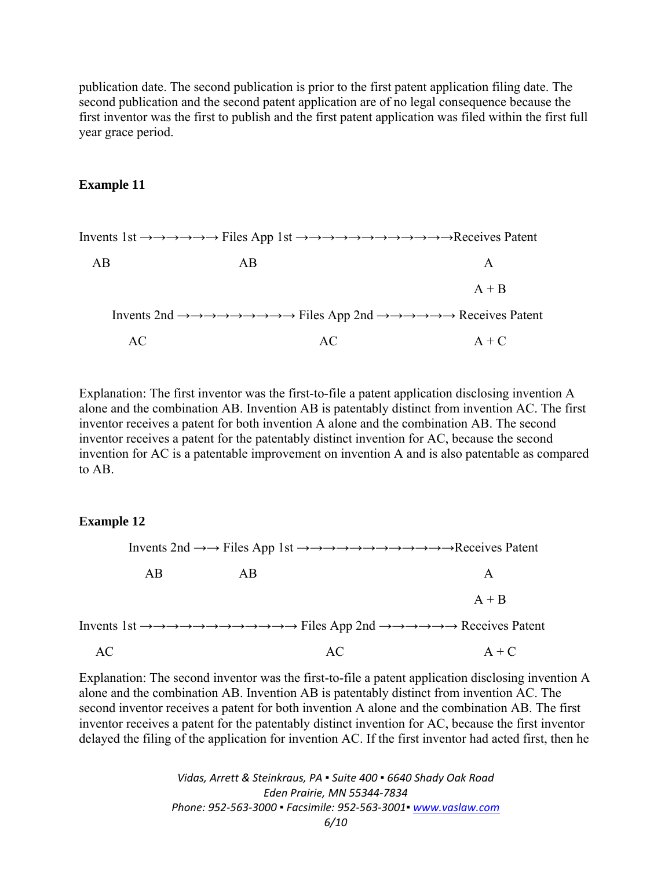publication date. The second publication is prior to the first patent application filing date. The second publication and the second patent application are of no legal consequence because the first inventor was the first to publish and the first patent application was filed within the first full year grace period.

#### **Example 11**

|                                                                                                                                                                                                                       |    | Invents $1st \rightarrow \rightarrow \rightarrow \rightarrow \rightarrow$ Files App $1st \rightarrow \rightarrow \rightarrow \rightarrow \rightarrow \rightarrow \rightarrow \rightarrow \rightarrow \rightarrow \rightarrow \rightarrow$ Receives Patent |
|-----------------------------------------------------------------------------------------------------------------------------------------------------------------------------------------------------------------------|----|-----------------------------------------------------------------------------------------------------------------------------------------------------------------------------------------------------------------------------------------------------------|
| AB                                                                                                                                                                                                                    | AB | A                                                                                                                                                                                                                                                         |
|                                                                                                                                                                                                                       |    | $A + B$                                                                                                                                                                                                                                                   |
| Invents 2nd $\rightarrow \rightarrow \rightarrow \rightarrow \rightarrow \rightarrow \rightarrow \rightarrow$ Files App 2nd $\rightarrow \rightarrow \rightarrow \rightarrow \rightarrow \rightarrow$ Receives Patent |    |                                                                                                                                                                                                                                                           |
| AС                                                                                                                                                                                                                    | AC | $A + C$                                                                                                                                                                                                                                                   |

Explanation: The first inventor was the first-to-file a patent application disclosing invention A alone and the combination AB. Invention AB is patentably distinct from invention AC. The first inventor receives a patent for both invention A alone and the combination AB. The second inventor receives a patent for the patentably distinct invention for AC, because the second invention for AC is a patentable improvement on invention A and is also patentable as compared to AB.

#### **Example 12**

 Invents 2nd →→ Files App 1st →→→→→→→→→→→→Receives Patent AB AB A  $A + B$ Invents 1st →→→→→→→→→→→→ Files App 2nd →→→→→→ Receives Patent  $AC$   $A + C$ 

Explanation: The second inventor was the first-to-file a patent application disclosing invention A alone and the combination AB. Invention AB is patentably distinct from invention AC. The second inventor receives a patent for both invention A alone and the combination AB. The first inventor receives a patent for the patentably distinct invention for AC, because the first inventor delayed the filing of the application for invention AC. If the first inventor had acted first, then he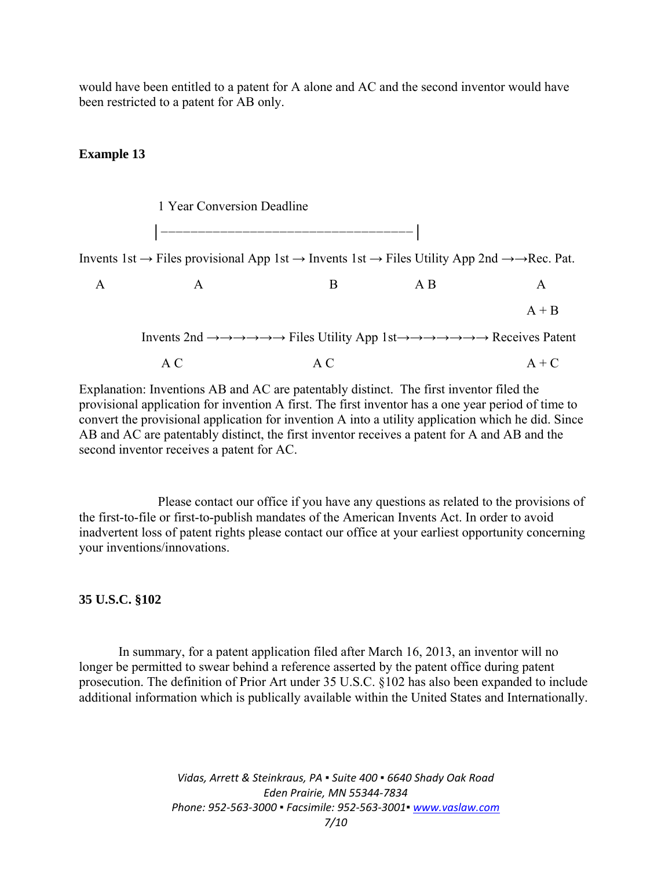would have been entitled to a patent for A alone and AC and the second inventor would have been restricted to a patent for AB only.

#### **Example 13**



Explanation: Inventions AB and AC are patentably distinct. The first inventor filed the provisional application for invention A first. The first inventor has a one year period of time to convert the provisional application for invention A into a utility application which he did. Since AB and AC are patentably distinct, the first inventor receives a patent for A and AB and the second inventor receives a patent for AC.

Please contact our office if you have any questions as related to the provisions of the first-to-file or first-to-publish mandates of the American Invents Act. In order to avoid inadvertent loss of patent rights please contact our office at your earliest opportunity concerning your inventions/innovations.

## **35 U.S.C. §102**

In summary, for a patent application filed after March 16, 2013, an inventor will no longer be permitted to swear behind a reference asserted by the patent office during patent prosecution. The definition of Prior Art under 35 U.S.C. §102 has also been expanded to include additional information which is publically available within the United States and Internationally.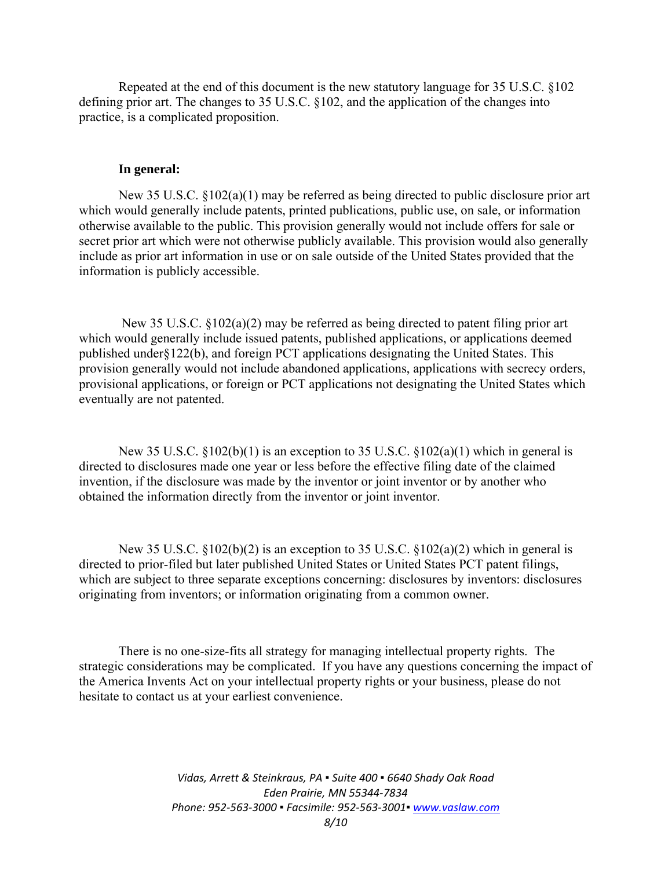Repeated at the end of this document is the new statutory language for 35 U.S.C. §102 defining prior art. The changes to 35 U.S.C. §102, and the application of the changes into practice, is a complicated proposition.

## **In general:**

New 35 U.S.C.  $\S 102(a)(1)$  may be referred as being directed to public disclosure prior art which would generally include patents, printed publications, public use, on sale, or information otherwise available to the public. This provision generally would not include offers for sale or secret prior art which were not otherwise publicly available. This provision would also generally include as prior art information in use or on sale outside of the United States provided that the information is publicly accessible.

 New 35 U.S.C. §102(a)(2) may be referred as being directed to patent filing prior art which would generally include issued patents, published applications, or applications deemed published under§122(b), and foreign PCT applications designating the United States. This provision generally would not include abandoned applications, applications with secrecy orders, provisional applications, or foreign or PCT applications not designating the United States which eventually are not patented.

New 35 U.S.C.  $$102(b)(1)$  is an exception to 35 U.S.C.  $$102(a)(1)$  which in general is directed to disclosures made one year or less before the effective filing date of the claimed invention, if the disclosure was made by the inventor or joint inventor or by another who obtained the information directly from the inventor or joint inventor.

New 35 U.S.C.  $\S 102(b)(2)$  is an exception to 35 U.S.C.  $\S 102(a)(2)$  which in general is directed to prior-filed but later published United States or United States PCT patent filings, which are subject to three separate exceptions concerning: disclosures by inventors: disclosures originating from inventors; or information originating from a common owner.

There is no one-size-fits all strategy for managing intellectual property rights. The strategic considerations may be complicated. If you have any questions concerning the impact of the America Invents Act on your intellectual property rights or your business, please do not hesitate to contact us at your earliest convenience.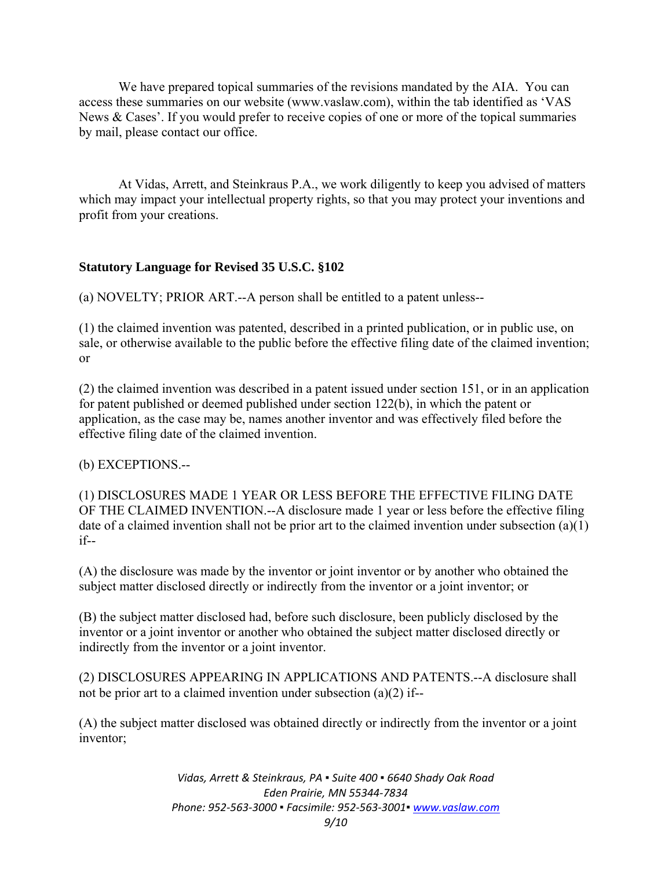We have prepared topical summaries of the revisions mandated by the AIA. You can access these summaries on our website (www.vaslaw.com), within the tab identified as 'VAS News & Cases'. If you would prefer to receive copies of one or more of the topical summaries by mail, please contact our office.

At Vidas, Arrett, and Steinkraus P.A., we work diligently to keep you advised of matters which may impact your intellectual property rights, so that you may protect your inventions and profit from your creations.

# **Statutory Language for Revised 35 U.S.C. §102**

(a) NOVELTY; PRIOR ART.--A person shall be entitled to a patent unless--

(1) the claimed invention was patented, described in a printed publication, or in public use, on sale, or otherwise available to the public before the effective filing date of the claimed invention; or

(2) the claimed invention was described in a patent issued under section 151, or in an application for patent published or deemed published under section 122(b), in which the patent or application, as the case may be, names another inventor and was effectively filed before the effective filing date of the claimed invention.

(b) EXCEPTIONS.--

(1) DISCLOSURES MADE 1 YEAR OR LESS BEFORE THE EFFECTIVE FILING DATE OF THE CLAIMED INVENTION.--A disclosure made 1 year or less before the effective filing date of a claimed invention shall not be prior art to the claimed invention under subsection (a)(1) if--

(A) the disclosure was made by the inventor or joint inventor or by another who obtained the subject matter disclosed directly or indirectly from the inventor or a joint inventor; or

(B) the subject matter disclosed had, before such disclosure, been publicly disclosed by the inventor or a joint inventor or another who obtained the subject matter disclosed directly or indirectly from the inventor or a joint inventor.

(2) DISCLOSURES APPEARING IN APPLICATIONS AND PATENTS.--A disclosure shall not be prior art to a claimed invention under subsection (a)(2) if--

(A) the subject matter disclosed was obtained directly or indirectly from the inventor or a joint inventor;